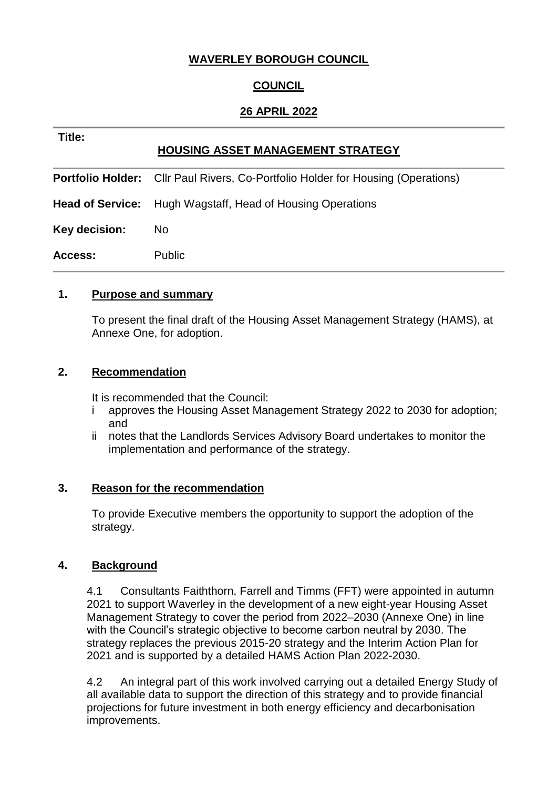# **WAVERLEY BOROUGH COUNCIL**

# **COUNCIL**

## **26 APRIL 2022**

| Title:        | <b>HOUSING ASSET MANAGEMENT STRATEGY</b>                                                |
|---------------|-----------------------------------------------------------------------------------------|
|               | <b>Portfolio Holder:</b> Cllr Paul Rivers, Co-Portfolio Holder for Housing (Operations) |
|               | <b>Head of Service:</b> Hugh Wagstaff, Head of Housing Operations                       |
| Key decision: | No.                                                                                     |
| Access:       | <b>Public</b>                                                                           |

### **1. Purpose and summary**

To present the final draft of the Housing Asset Management Strategy (HAMS), at Annexe One, for adoption.

### **2. Recommendation**

It is recommended that the Council:

- i approves the Housing Asset Management Strategy 2022 to 2030 for adoption; and
- ii notes that the Landlords Services Advisory Board undertakes to monitor the implementation and performance of the strategy.

### **3. Reason for the recommendation**

To provide Executive members the opportunity to support the adoption of the strategy.

### **4. Background**

4.1 Consultants Faiththorn, Farrell and Timms (FFT) were appointed in autumn 2021 to support Waverley in the development of a new eight-year Housing Asset Management Strategy to cover the period from 2022–2030 (Annexe One) in line with the Council's strategic objective to become carbon neutral by 2030. The strategy replaces the previous 2015-20 strategy and the Interim Action Plan for 2021 and is supported by a detailed HAMS Action Plan 2022-2030.

4.2 An integral part of this work involved carrying out a detailed Energy Study of all available data to support the direction of this strategy and to provide financial projections for future investment in both energy efficiency and decarbonisation improvements.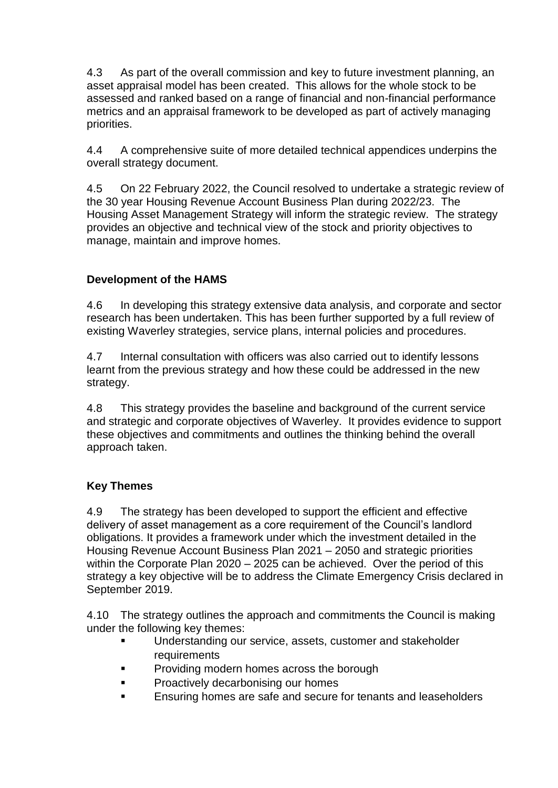4.3 As part of the overall commission and key to future investment planning, an asset appraisal model has been created. This allows for the whole stock to be assessed and ranked based on a range of financial and non-financial performance metrics and an appraisal framework to be developed as part of actively managing priorities.

4.4 A comprehensive suite of more detailed technical appendices underpins the overall strategy document.

4.5 On 22 February 2022, the Council resolved to undertake a strategic review of the 30 year Housing Revenue Account Business Plan during 2022/23. The Housing Asset Management Strategy will inform the strategic review. The strategy provides an objective and technical view of the stock and priority objectives to manage, maintain and improve homes.

# **Development of the HAMS**

4.6 In developing this strategy extensive data analysis, and corporate and sector research has been undertaken. This has been further supported by a full review of existing Waverley strategies, service plans, internal policies and procedures.

4.7 Internal consultation with officers was also carried out to identify lessons learnt from the previous strategy and how these could be addressed in the new strategy.

4.8 This strategy provides the baseline and background of the current service and strategic and corporate objectives of Waverley. It provides evidence to support these objectives and commitments and outlines the thinking behind the overall approach taken.

## **Key Themes**

4.9 The strategy has been developed to support the efficient and effective delivery of asset management as a core requirement of the Council's landlord obligations. It provides a framework under which the investment detailed in the Housing Revenue Account Business Plan 2021 – 2050 and strategic priorities within the Corporate Plan 2020 – 2025 can be achieved. Over the period of this strategy a key objective will be to address the Climate Emergency Crisis declared in September 2019.

4.10 The strategy outlines the approach and commitments the Council is making under the following key themes:

- Understanding our service, assets, customer and stakeholder requirements
- **Providing modern homes across the borough**
- **Proactively decarbonising our homes**
- **Ensuring homes are safe and secure for tenants and leaseholders**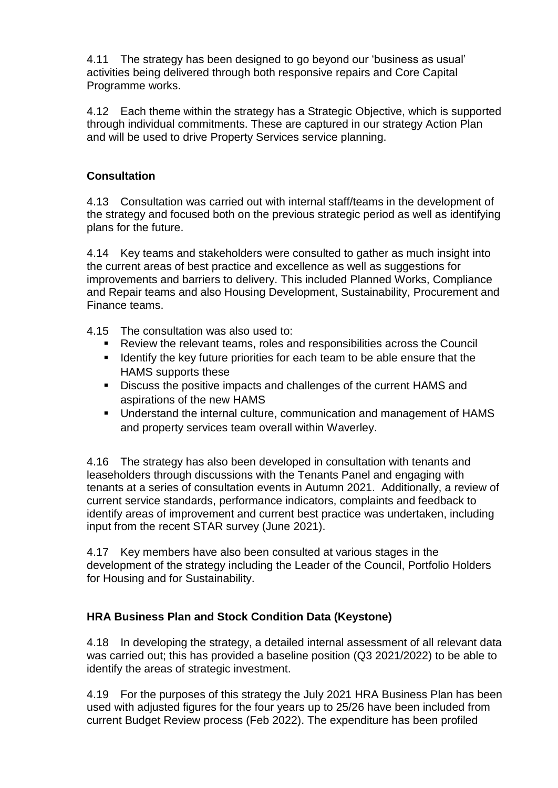4.11 The strategy has been designed to go beyond our 'business as usual' activities being delivered through both responsive repairs and Core Capital Programme works.

4.12 Each theme within the strategy has a Strategic Objective, which is supported through individual commitments. These are captured in our strategy Action Plan and will be used to drive Property Services service planning.

# **Consultation**

4.13 Consultation was carried out with internal staff/teams in the development of the strategy and focused both on the previous strategic period as well as identifying plans for the future.

4.14 Key teams and stakeholders were consulted to gather as much insight into the current areas of best practice and excellence as well as suggestions for improvements and barriers to delivery. This included Planned Works, Compliance and Repair teams and also Housing Development, Sustainability, Procurement and Finance teams.

4.15 The consultation was also used to:

- Review the relevant teams, roles and responsibilities across the Council
- **If** Identify the key future priorities for each team to be able ensure that the HAMS supports these
- Discuss the positive impacts and challenges of the current HAMS and aspirations of the new HAMS
- Understand the internal culture, communication and management of HAMS and property services team overall within Waverley.

4.16 The strategy has also been developed in consultation with tenants and leaseholders through discussions with the Tenants Panel and engaging with tenants at a series of consultation events in Autumn 2021. Additionally, a review of current service standards, performance indicators, complaints and feedback to identify areas of improvement and current best practice was undertaken, including input from the recent STAR survey (June 2021).

4.17 Key members have also been consulted at various stages in the development of the strategy including the Leader of the Council, Portfolio Holders for Housing and for Sustainability.

# **HRA Business Plan and Stock Condition Data (Keystone)**

4.18 In developing the strategy, a detailed internal assessment of all relevant data was carried out; this has provided a baseline position (Q3 2021/2022) to be able to identify the areas of strategic investment.

4.19 For the purposes of this strategy the July 2021 HRA Business Plan has been used with adjusted figures for the four years up to 25/26 have been included from current Budget Review process (Feb 2022). The expenditure has been profiled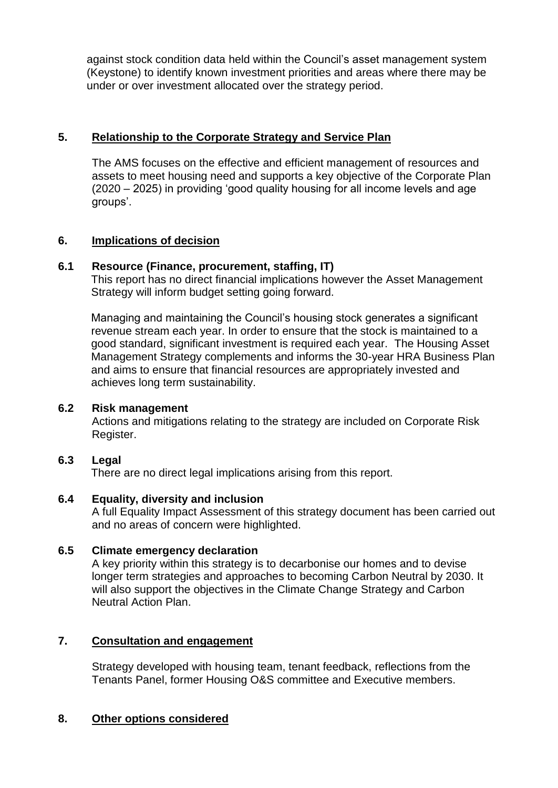against stock condition data held within the Council's asset management system (Keystone) to identify known investment priorities and areas where there may be under or over investment allocated over the strategy period.

## **5. Relationship to the Corporate Strategy and Service Plan**

The AMS focuses on the effective and efficient management of resources and assets to meet housing need and supports a key objective of the Corporate Plan (2020 – 2025) in providing 'good quality housing for all income levels and age groups'.

## **6. Implications of decision**

## **6.1 Resource (Finance, procurement, staffing, IT)**

This report has no direct financial implications however the Asset Management Strategy will inform budget setting going forward.

Managing and maintaining the Council's housing stock generates a significant revenue stream each year. In order to ensure that the stock is maintained to a good standard, significant investment is required each year. The Housing Asset Management Strategy complements and informs the 30-year HRA Business Plan and aims to ensure that financial resources are appropriately invested and achieves long term sustainability.

### **6.2 Risk management**

Actions and mitigations relating to the strategy are included on Corporate Risk Register.

### **6.3 Legal**

There are no direct legal implications arising from this report.

### **6.4 Equality, diversity and inclusion**

A full Equality Impact Assessment of this strategy document has been carried out and no areas of concern were highlighted.

### **6.5 Climate emergency declaration**

A key priority within this strategy is to decarbonise our homes and to devise longer term strategies and approaches to becoming Carbon Neutral by 2030. It will also support the objectives in the Climate Change Strategy and Carbon Neutral Action Plan.

## **7. Consultation and engagement**

Strategy developed with housing team, tenant feedback, reflections from the Tenants Panel, former Housing O&S committee and Executive members.

### **8. Other options considered**